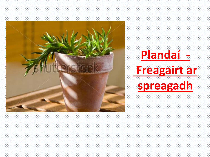

## **Plandaí - Freagairt ar spreagadh**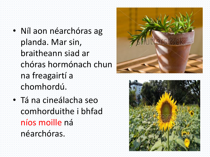- Níl aon néarchóras ag planda. Mar sin, braitheann siad ar chóras hormónach chun na freagairtí a chomhordú.
- Tá na cineálacha seo comhorduithe i bhfad níos moille ná néarchóras.



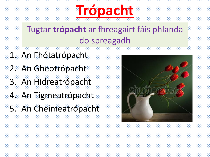# **Trópacht**

### Tugtar **trópacht** ar fhreagairt fáis phlanda do spreagadh

- 1. An Fhótatrópacht
- 2. An Gheotrópacht
- 3. An Hidreatrópacht
- 4. An Tigmeatrópacht
- 5. An Cheimeatrópacht

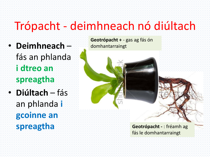## Trópacht - deimhneach nó diúltach

- **Deimhneach** fás an phlanda **i dtreo an spreagtha**
- **Diúltach** fás an phlanda **i gcoinne an spreagtha**

**Geotrópacht +** - gas ag fás ón domhantarraingt

> **Geotrópacht -** : fréamh ag fás le domhantarraingt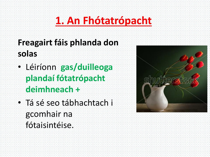## **1. An Fhótatrópacht**

#### **Freagairt fáis phlanda don solas**

- Léiríonn **gas/duilleoga plandaí fótatrópacht deimhneach +**
- Tá sé seo tábhachtach i gcomhair na fótaisintéise.

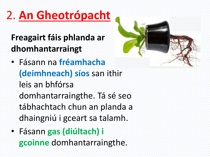## 2. **An Gheotrópacht**

- **Freagairt fáis phlanda ar dhomhantarraingt**
- Fásann na **fréamhacha (deimhneach) síos** san ithir
	- leis an bhfórsa
	- domhantarraingthe. Tá sé seo
	- tábhachtach chun an planda a
	- dhaingniú i gceart sa talamh.
- Fásann **gas (diúltach) i** 
	- **gcoinne** domhantarraingthe.

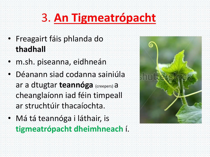## 3. **An Tigmeatrópacht**

- Freagairt fáis phlanda do **thadhall**
- m.sh. piseanna, eidhneán
- Déanann siad codanna sainiúla ar a dtugtar **teannóga** (creepers) a cheanglaíonn iad féin timpeall ar struchtúir thacaíochta.
- Má tá teannóga i láthair, is **tigmeatrópacht dheimhneach** í.

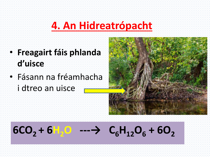### **4. An Hidreatrópacht**

- **Freagairt fáis phlanda d'uisce**
- Fásann na fréamhacha i dtreo an uisce



## **, + <b>6H**<sub>2</sub>**O** --- → **<sub>6</sub>H<sub>12</sub><b>O**<sub>6</sub> + **6O**<sub>2</sub>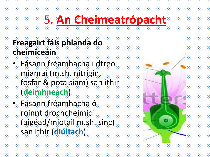## 5. **An Cheimeatrópacht**

#### **Freagairt fáis phlanda do cheimiceáin**

- Fásann fréamhacha i dtreo mianraí (m.sh. nítrigin, fosfar & potaisiam) san ithir (**deimhneach**).
- Fásann fréamhacha ó roinnt drochcheimicí (aigéad/miotail m.sh. sinc) san ithir (**diúltach**)

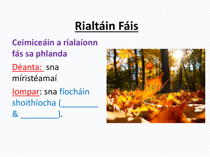## **Rialtáin Fáis**

### **Ceimiceáin a rialaíonn fás sa phlanda**

Déanta: sna míristéamaí

Iompar: sna fíocháin shoithíocha (  $\mathcal{R}$  . The set of  $\mathcal{R}$ 

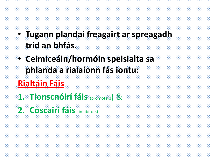#### • **Tugann plandaí freagairt ar spreagadh tríd an bhfás.**

• **Ceimiceáin/hormóin speisialta sa phlanda a rialaíonn fás iontu:** 

### **Rialtáin Fáis**

- **1. Tionscnóirí fáis** (promoters) &
- **2. Coscairí fáis** (inhibitors)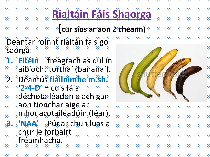## **Rialtáin Fáis Shaorga**

#### **(cur síos ar aon 2 cheann)**

- Déantar roinnt rialtán fáis go saorga:
- **1. Eitéin**  freagrach as dul in aibíocht torthaí (bananaí).
- 2. Déantús **fiailnimhe m.sh.** '**2-4-D'** = cúis fáis déchotailéadón é ach gan aon tionchar aige ar mhonacotailéadóin (féar).
- **3. 'NAA'**  Púdar chun luas a chur le forbairt fréamhacha.

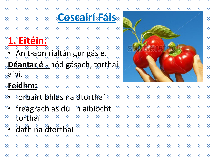### **Coscairí Fáis**

### **1. Eitéin:**

• An t-aon rialtán gur gás é. **Déantar é -** nód gásach, torthaí aibí.

#### **Feidhm:**

- forbairt bhlas na dtorthaí
- freagrach as dul in aibíocht torthaí
- dath na dtorthaí

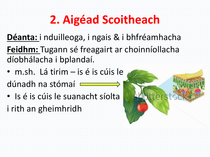## **2. Aigéad Scoitheach**

- **Déanta:** i nduilleoga, i ngais & i bhfréamhacha **Feidhm:** Tugann sé freagairt ar choinníollacha díobhálacha i bplandaí.
- m.sh. Lá tirim is é is cúis le
- dúnadh na stómaí **E**
- Is é is cúis le suanacht síolta
- i rith an gheimhridh

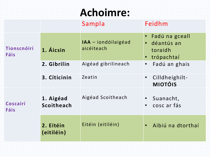## **Achoimre:**

|                            |                         | Sampla                            | Feidhm                                                                          |
|----------------------------|-------------------------|-----------------------------------|---------------------------------------------------------------------------------|
| Tionscnóirí<br><b>Fáis</b> | 1. Áicsin               | IAA - iondóilaigéad<br>aicéiteach | Fadú na gceall<br>$\bullet$<br>déantús an<br>$\bullet$<br>toraidh<br>trópachtaí |
|                            | 2. Gibrilin             | Aigéad gibrilineach               | Fadú an ghais<br>$\bullet$                                                      |
|                            | 3. Cíticinin            | Zeatin                            | Cilldheighilt-<br>$\bullet$<br><b>MIOTÓIS</b>                                   |
| Coscairí<br>Fáis           | 1. Aigéad<br>Scoitheach | Aigéad Scoitheach                 | Suanacht,<br>cosc ar fás<br>$\bullet$                                           |
|                            | 2. Eitéin<br>(eitiléin) | Eitéin (eitiléin)                 | Aibiú na dtorthaí<br>$\bullet$                                                  |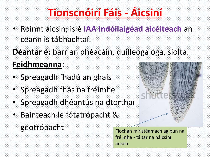## **Tionscnóirí Fáis - Áicsiní**

• Roinnt áicsin; is é **IAA Indóilaigéad aicéiteach** an ceann is tábhachtaí.

**Déantar é:** barr an phéacáin, duilleoga óga, síolta.

#### **Feidhmeanna**:

- Spreagadh fhadú an ghais
- Spreagadh fhás na fréimhe
- Spreagadh dhéantús na dtorthaí
- Bainteach le fótatrópacht &
	- geotrópacht Fíochán míristéamach ag bun na

fréimhe - táltar na háicsiní anseo

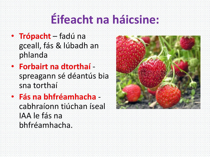## **Éifeacht na háicsine:**

- **Trópacht** fadú na gceall, fás & lúbadh an phlanda
- **Forbairt na dtorthaí**  spreagann sé déantús bia sna torthaí
- **Fás na bhfréamhacha** cabhraíonn tiúchan íseal IAA le fás na bhfréamhacha.

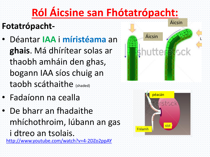## **Ról Áicsine san Fhótatrópacht:**

#### **Fotatrópacht-**

- Déantar **IAA** i **míristéama** an **ghais**. Má dhírítear solas ar thaobh amháin den ghas, bogann IAA síos chuig an taobh scáthaithe (shaded)
- Fadaíonn na cealla
- De bharr an fhadaithe mhíchothroim, lúbann an gas
	- i dtreo an tsolais. <http://www.youtube.com/watch?v=4-2DZo2ppAY>



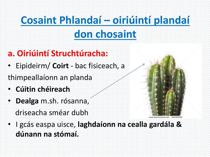## **Cosaint Phlandaí – oiriúintí plandaí don chosaint**

#### **a. Oiriúintí Struchtúracha:**

- Eipideirm/ **Coirt** bac fisiceach, a
- thimpeallaíonn an planda
- **Cúitin chéireach**
- **Dealga** m.sh. rósanna, driseacha sméar dubh



• I gcás easpa uisce, **laghdaíonn na cealla gardála & dúnann na stómaí.**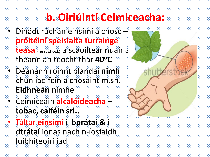## **b. Oiriúintí Ceimiceacha:**

- Dínádúrúchán einsímí a chosc **próitéiní speisialta turrainge teasa** (heat shock) a scaoiltear nuair a théann an teocht thar **40<sup>o</sup>C**
- Déanann roinnt plandaí **nimh**  chun iad féin a chosaint m.sh. **Eidhneán** nimhe
- Ceimiceáin **alcalóideacha – tobac, caiféin srl..**
- Táltar **einsímí** i b**prátaí &** i d**trátaí** ionas nach n-íosfaidh luibhiteoirí iad

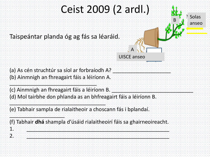## Ceist 2009 (2 ardl.)

Taispeántar planda óg ag fás sa léaráid.



Solas

anseo

 $(a)$  As cén struchtúr sa síol ar forbraíodh A? (b) Ainmnigh an fhreagairt fáis a léiríonn A.  $\frac{1}{2}$  ,  $\frac{1}{2}$  ,  $\frac{1}{2}$  ,  $\frac{1}{2}$  ,  $\frac{1}{2}$  ,  $\frac{1}{2}$  ,  $\frac{1}{2}$  ,  $\frac{1}{2}$  ,  $\frac{1}{2}$  ,  $\frac{1}{2}$  ,  $\frac{1}{2}$  ,  $\frac{1}{2}$  ,  $\frac{1}{2}$  ,  $\frac{1}{2}$  ,  $\frac{1}{2}$  ,  $\frac{1}{2}$  ,  $\frac{1}{2}$  ,  $\frac{1}{2}$  ,  $\frac{1$ 

(c) Ainmnigh an fhreagairt fáis a léiríonn B. (d) Mol tairbhe don phlanda as an bhfreagairt fáis a léiríonn B.  $\frac{1}{2}$  ,  $\frac{1}{2}$  ,  $\frac{1}{2}$  ,  $\frac{1}{2}$  ,  $\frac{1}{2}$  ,  $\frac{1}{2}$  ,  $\frac{1}{2}$  ,  $\frac{1}{2}$  ,  $\frac{1}{2}$  ,  $\frac{1}{2}$  ,  $\frac{1}{2}$  ,  $\frac{1}{2}$  ,  $\frac{1}{2}$  ,  $\frac{1}{2}$  ,  $\frac{1}{2}$  ,  $\frac{1}{2}$  ,  $\frac{1}{2}$  ,  $\frac{1}{2}$  ,  $\frac{1$ 

(e) Tabhair sampla de rialaitheoir a choscann fás i bplandaí.  $\frac{1}{2}$  ,  $\frac{1}{2}$  ,  $\frac{1}{2}$  ,  $\frac{1}{2}$  ,  $\frac{1}{2}$  ,  $\frac{1}{2}$  ,  $\frac{1}{2}$  ,  $\frac{1}{2}$  ,  $\frac{1}{2}$  ,  $\frac{1}{2}$  ,  $\frac{1}{2}$  ,  $\frac{1}{2}$  ,  $\frac{1}{2}$  ,  $\frac{1}{2}$  ,  $\frac{1}{2}$  ,  $\frac{1}{2}$  ,  $\frac{1}{2}$  ,  $\frac{1}{2}$  ,  $\frac{1$ 

(f) Tabhair **dhá** shampla d'úsáid rialaitheoirí fáis sa ghairneoireacht. 1. De la constitución de la constitución de la constitución de la constitución de la constitución de la consti<br>La constitución de la constitución de la constitución de la constitución de la constitución de la constitución  $\bm{2}$  . Let us the set of the set of the set of the set of the set of the set of the set of the set of the set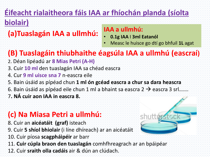## **Éifeacht rialaitheora fáis IAA ar fhíochán planda (síolta**

#### **biolair)**

**(a)Tuaslagán IAA a ullmhú:**

#### **IAA a ullmhú:**

- **0.1g IAA** I **3ml Eatanól**
- Measc le huisce go dtí go bhfuil **1L** agat

#### **(B) Tuaslagáin thiubhaithe éagsúla IAA a ullmhú (eascraí)**

- 2. Déan lipéadú ar **8 Mias Petri (A-H)**
- 3. Cuir **10 ml** den tuaslagán IAA sa chéad eascra
- 4. Cur **9 ml uisce sna 7** n-eascra eile
- 5. Bain úsáid as pípéad chun **1 ml ón gcéad eascra a chur sa dara heascra**
- 6. Bain úsáid as pípéad eile chun 1 ml a bhaint sa eascra 2  $\rightarrow$  eascra 3 srl…….
- 7**. NÁ cuir aon IAA in eascra 8.**

#### **(c) Na Miasa Petri a ullmhú:**

- 8. Cuir an **aicéatáit (graf)** isteach
- 9. Cuir **5 shíol bhiolair** (i líne dhíreach) ar an aicéatáit
- 10. Cuir píosa **scagpháipéir** ar barr
- 11. **Cuir cúpla braon den tuaslagán** comhfhreagrach ar an bpáipéar
- 12. Cuir **sraith olla cadáis** air & dún an clúdach.